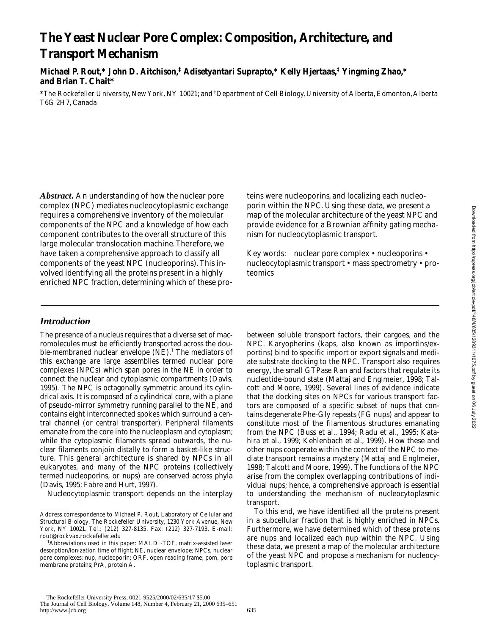# **The Yeast Nuclear Pore Complex: Composition, Architecture, and Transport Mechanism**

**Michael P. Rout,\* John D. Aitchison,‡ Adisetyantari Suprapto,\* Kelly Hjertaas,‡ Yingming Zhao,\* and Brian T. Chait\***

\*The Rockefeller University, New York, NY 10021; and ‡ Department of Cell Biology, University of Alberta, Edmonton, Alberta T6G 2H7, Canada

*Abstract.* An understanding of how the nuclear pore complex (NPC) mediates nucleocytoplasmic exchange requires a comprehensive inventory of the molecular components of the NPC and a knowledge of how each component contributes to the overall structure of this large molecular translocation machine. Therefore, we have taken a comprehensive approach to classify all components of the yeast NPC (nucleoporins). This involved identifying all the proteins present in a highly enriched NPC fraction, determining which of these proteins were nucleoporins, and localizing each nucleoporin within the NPC. Using these data, we present a map of the molecular architecture of the yeast NPC and provide evidence for a Brownian affinity gating mechanism for nucleocytoplasmic transport.

Key words: nuclear pore complex • nucleoporins • nucleocytoplasmic transport • mass spectrometry • proteomics

## *Introduction*

The presence of a nucleus requires that a diverse set of macromolecules must be efficiently transported across the double-membraned nuclear envelope (NE).<sup>1</sup> The mediators of this exchange are large assemblies termed nuclear pore complexes (NPCs) which span pores in the NE in order to connect the nuclear and cytoplasmic compartments (Davis, 1995). The NPC is octagonally symmetric around its cylindrical axis. It is composed of a cylindrical core, with a plane of pseudo-mirror symmetry running parallel to the NE, and contains eight interconnected spokes which surround a central channel (or central transporter). Peripheral filaments emanate from the core into the nucleoplasm and cytoplasm; while the cytoplasmic filaments spread outwards, the nuclear filaments conjoin distally to form a basket-like structure. This general architecture is shared by NPCs in all eukaryotes, and many of the NPC proteins (collectively termed nucleoporins, or nups) are conserved across phyla (Davis, 1995; Fabre and Hurt, 1997).

Nucleocytoplasmic transport depends on the interplay

between soluble transport factors, their cargoes, and the NPC. Karyopherins (kaps, also known as importins/exportins) bind to specific import or export signals and mediate substrate docking to the NPC. Transport also requires energy, the small GTPase Ran and factors that regulate its nucleotide-bound state (Mattaj and Englmeier, 1998; Talcott and Moore, 1999). Several lines of evidence indicate that the docking sites on NPCs for various transport factors are composed of a specific subset of nups that contains degenerate Phe-Gly repeats (FG nups) and appear to constitute most of the filamentous structures emanating from the NPC (Buss et al., 1994; Radu et al., 1995; Katahira et al., 1999; Kehlenbach et al., 1999). How these and other nups cooperate within the context of the NPC to mediate transport remains a mystery (Mattaj and Englmeier, 1998; Talcott and Moore, 1999). The functions of the NPC arise from the complex overlapping contributions of individual nups; hence, a comprehensive approach is essential to understanding the mechanism of nucleocytoplasmic transport.

To this end, we have identified all the proteins present in a subcellular fraction that is highly enriched in NPCs. Furthermore, we have determined which of these proteins are nups and localized each nup within the NPC. Using these data, we present a map of the molecular architecture of the yeast NPC and propose a mechanism for nucleocytoplasmic transport.

Address correspondence to Michael P. Rout, Laboratory of Cellular and Structural Biology, The Rockefeller University, 1230 York Avenue, New York, NY 10021. Tel.: (212) 327-8135. Fax: (212) 327-7193. E-mail: rout@rockvax.rockefeller.edu

<sup>1</sup> *Abbreviations used in this paper:* MALDI-TOF, matrix-assisted laser desorption/ionization time of flight; NE, nuclear envelope; NPCs, nuclear pore complexes; nup, nucleoporin; ORF, open reading frame; pom, pore membrane proteins; PrA, protein A.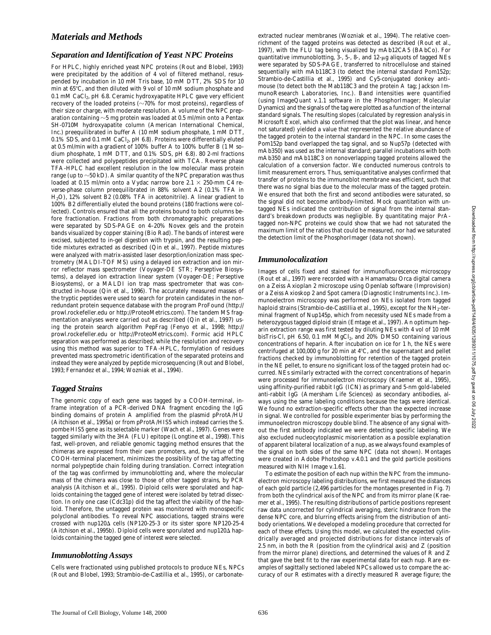## *Materials and Methods*

#### *Separation and Identification of Yeast NPC Proteins*

For HPLC, highly enriched yeast NPC proteins (Rout and Blobel, 1993) were precipitated by the addition of 4 vol of filtered methanol, resuspended by incubation in 10 mM Tris base, 10 mM DTT, 2% SDS for 10 min at 65°C, and then diluted with 9 vol of 10 mM sodium phosphate and 0.1 mM CaCl<sub>2</sub>, pH 6.8. Ceramic hydroxyapatite HPLC gave very efficient recovery of the loaded proteins  $(\sim 70\%$  for most proteins), regardless of their size or charge, with moderate resolution. A volume of the NPC preparation containing  $\sim$ 5 mg protein was loaded at 0.5 ml/min onto a Pentax SH-0710M hydroxyapatite column (American International Chemical, Inc.) preequilibrated in buffer A (10 mM sodium phosphate, 1 mM DTT, 0.1% SDS, and 0.1 mM CaCl<sub>2</sub>, pH 6.8). Proteins were differentially eluted at 0.5 ml/min with a gradient of 100% buffer A to 100% buffer B (1 M sodium phosphate, 1 mM DTT, and 0.1% SDS, pH 6.8). 80 2-ml fractions were collected and polypeptides precipitated with TCA. Reverse phase TFA-HPLC had excellent resolution in the low molecular mass protein range (up to  $\sim$  50 kD). A similar quantity of the NPC preparation was thus loaded at 0.15 ml/min onto a Vydac narrow bore  $2.1 \times 250$ -mm C4 reverse-phase column preequilibrated in 88% solvent A2 (0.1% TFA in H2O), 12% solvent B2 (0.08% TFA in acetonitrile). A linear gradient to 100% B2 differentially eluted the bound proteins (180 fractions were collected). Controls ensured that all the proteins bound to both columns before fractionation. Fractions from both chromatographic preparations were separated by SDS-PAGE on 4–20% Novex gels and the protein bands visualized by copper staining (Bio Rad). The bands of interest were excised, subjected to in-gel digestion with trypsin, and the resulting peptide mixtures extracted as described (Qin et al., 1997). Peptide mixtures were analyzed with matrix-assisted laser desorption/ionization mass spectrometry (MALDI-TOF MS) using a delayed ion extraction and ion mirror reflector mass spectrometer (Voyager-DE STR; Perseptive Biosystems), a delayed ion extraction linear system (Voyager-DE; Perseptive Biosystems), or a MALDI ion trap mass spectrometer that was constructed in-house (Qin et al., 1996). The accurately measured masses of the tryptic peptides were used to search for protein candidates in the nonredundant protein sequence database with the program ProFound (http:// prowl.rockefeller.edu or http://ProteoMetrics.com). The tandem MS fragmentation analyses were carried out as described (Qin et al., 1997) using the protein search algorithm PepFrag (Fenyo et al., 1998; http:// prowl.rockefeller.edu or http://ProteoMetrics.com). Formic acid HPLC separation was performed as described; while the resolution and recovery using this method was superior to TFA-HPLC, formylation of residues prevented mass spectrometric identification of the separated proteins and instead they were analyzed by peptide microsequencing (Rout and Blobel, 1993; Fernandez et al., 1994; Wozniak et al., 1994).

#### *Tagged Strains*

The genomic copy of each gene was tagged by a COOH-terminal, inframe integration of a PCR-derived DNA fragment encoding the IgG binding domains of protein A amplified from the plasmid pProtA/HU (Aitchison et al., 1995a) or from pProtA/HIS5 which instead carries the *S*. *pombe* HIS5 gene as its selectable marker (Wach et al., 1997). Genes were tagged similarly with the 3HA (FLU) epitope (Longtine et al., 1998). This fast, well-proven, and reliable genomic tagging method ensures that the chimeras are expressed from their own promoters, and, by virtue of the COOH-terminal placement, minimizes the possibility of the tag affecting normal polypeptide chain folding during translation. Correct integration of the tag was confirmed by immunoblotting and, where the molecular mass of the chimera was close to those of other tagged strains, by PCR analysis (Aitchison et al., 1995). Diploid cells were sporulated and haploids containing the tagged gene of interest were isolated by tetrad dissection. In only one case (Cdc31p) did the tag affect the viability of the haploid. Therefore, the untagged protein was monitored with monospecific polyclonal antibodies. To reveal NPC associations, tagged strains were crossed with  $nup120\Delta$  cells (NP120-25-3 or its sister spore NP120-25-4 (Aitchison et al., 1995b). Diploid cells were sporulated and *nup120*∆ haploids containing the tagged gene of interest were selected.

#### *Immunoblotting Assays*

Cells were fractionated using published protocols to produce NEs, NPCs (Rout and Blobel, 1993; Strambio-de-Castillia et al., 1995), or carbonate-

extracted nuclear membranes (Wozniak et al., 1994). The relative coenrichment of the tagged proteins was detected as described (Rout et al., 1997), with the FLU tag being visualized by mAb12CA5 (BAbCo). For quantitative immunoblotting, 3-, 5-, 8-, and 12-µg aliquots of tagged NEs were separated by SDS-PAGE, transferred to nitrocellulose and stained sequentially with mAb118C3 (to detect the internal standard Pom152p; Strambio-de-Castillia et al., 1995) and Cy5-conjugated donkey anti– mouse (to detect both the Mab118C3 and the protein A tag; Jackson ImmunoResearch Laboratories, Inc.). Band intensities were quantified (using ImageQuant v.1.1 software in the PhosphorImager; Molecular Dynamics) and the signals of the tag were plotted as a function of the internal standard signals. The resulting slopes (calculated by regression analysis in Microsoft Excel, which also confirmed that the plot was linear, and hence not saturated) yielded a value that represented the relative abundance of the tagged protein to the internal standard in the NPC. In some cases the Pom152p band overlapped the tag signal, and so Nup57p (detected with mAb350) was used as the internal standard; parallel incubations with both mAb350 and mAb118C3 on nonoverlapping tagged proteins allowed the calculation of a conversion factor. We conducted numerous controls to limit measurement errors. Thus, semiquantitative analyses confirmed that transfer of proteins to the immunoblot membrane was efficient, such that there was no signal bias due to the molecular mass of the tagged protein. We ensured that both the first and second antibodies were saturated, so the signal did not become antibody-limited. Mock quantitation with untagged NEs indicated the contribution of signal from the internal standard's breakdown products was negligible. By quantitating major PrAtagged non-NPC proteins we could show that we had not saturated the maximum limit of the ratios that could be measured, nor had we saturated the detection limit of the PhosphorImager (data not shown).

#### *Immunolocalization*

Images of cells fixed and stained for immunofluorescence microscopy (Rout et al., 1997) were recorded with a Hamamatsu Orca digital camera on a Zeiss Axioplan 2 microscope using Openlab software (Improvision) or a Zeiss Axioskop 2 and Spot camera (Diagnostic Instruments Inc.). Immunoelectron microscopy was performed on NEs isolated from tagged haploid strains (Strambio-de-Castillia et al., 1995), except for the NH<sub>2</sub>-terminal fragment of Nup145p, which from necessity used NEs made from a heterozygous tagged diploid strain (Emtage et al., 1997). An optimum heparin extraction range was first tested by diluting NEs with 4 vol of 10 mM bisTris-Cl, pH  $6.50$ , 0.1 mM MgCl<sub>2</sub>, and  $20\%$  DMSO containing various concentrations of heparin. After incubation on ice for 1 h, the NEs were centrifuged at 100,000  $g$  for 20 min at  $4^{\circ}$ C, and the supernatant and pellet fractions checked by immunoblotting for retention of the tagged protein in the NE pellet, to ensure no significant loss of the tagged protein had occurred. NEs similarly extracted with the correct concentrations of heparin were processed for immunoelectron microscopy (Kraemer et al., 1995), using affinity-purified rabbit IgG (ICN) as primary and 5-nm gold-labeled anti-rabbit IgG (Amersham Life Sciences) as secondary antibodies, always using the same labeling conditions because the tags were identical. We found no extraction-specific effects other than the expected increase in signal. We controlled for possible experimenter bias by performing the immunoelectron microscopy double blind. The absence of any signal without the first antibody indicated we were detecting specific labeling. We also excluded nucleocytoplasmic misorientation as a possible explanation of apparent bilateral localization of a nup, as we always found examples of the signal on both sides of the same NPC (data not shown). Montages were created in Adobe Photoshop v.4.0.1 and the gold particle positions measured with NIH Image v.1.61.

To estimate the position of each nup within the NPC from the immunoelectron microscopy labeling distributions, we first measured the distances of each gold particle (2,496 particles for the montages presented in Fig. 7) from both the cylindrical axis of the NPC and from its mirror plane (Kraemer et al., 1995). The resulting distributions of particle positions represent raw data uncorrected for cylindrical averaging, steric hindrance from the dense NPC core, and blurring effects arising from the distribution of antibody orientations. We developed a modeling procedure that corrected for each of these effects. Using this model, we calculated the expected cylindrically averaged and projected distributions for distance intervals of 2.5 nm, in both the R (position from the cylindrical axis) and Z (position from the mirror plane) directions, and determined the values of R and Z that gave the best fit to the raw experimental data for each nup. Rare examples of sagittally sectioned labeled NPCs allowed us to compare the accuracy of our R estimates with a directly measured R average figure; the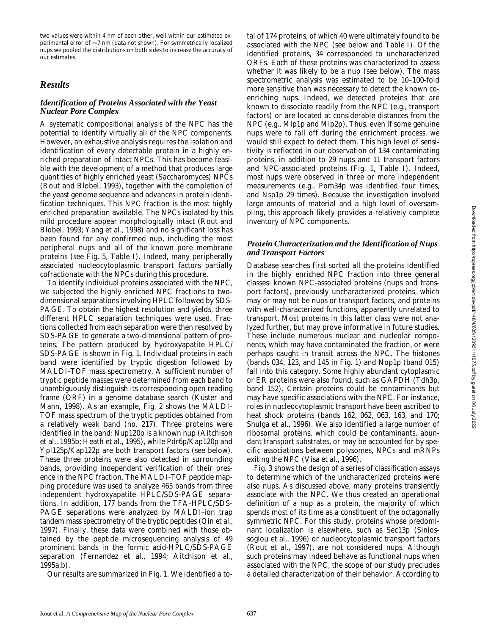two values were within 4 nm of each other, well within our estimated experimental error of  $\sim$ 7 nm (data not shown). For symmetrically localized nups we pooled the distributions on both sides to increase the accuracy of our estimates.

#### *Results*

#### *Identification of Proteins Associated with the Yeast Nuclear Pore Complex*

A systematic compositional analysis of the NPC has the potential to identify virtually all of the NPC components. However, an exhaustive analysis requires the isolation and identification of every detectable protein in a highly enriched preparation of intact NPCs. This has become feasible with the development of a method that produces large quantities of highly enriched yeast (*Saccharomyces*) NPCs (Rout and Blobel, 1993), together with the completion of the yeast genome sequence and advances in protein identification techniques. This NPC fraction is the most highly enriched preparation available. The NPCs isolated by this mild procedure appear morphologically intact (Rout and Blobel, 1993; Yang et al., 1998) and no significant loss has been found for any confirmed nup, including the most peripheral nups and all of the known pore membrane proteins (see Fig. 5, Table I). Indeed, many peripherally associated nucleocytoplasmic transport factors partially cofractionate with the NPCs during this procedure.

To identify individual proteins associated with the NPC, we subjected the highly enriched NPC fractions to twodimensional separations involving HPLC followed by SDS-PAGE. To obtain the highest resolution and yields, three different HPLC separation techniques were used. Fractions collected from each separation were then resolved by SDS-PAGE to generate a two-dimensional pattern of proteins. The pattern produced by hydroxyapatite HPLC/ SDS-PAGE is shown in Fig. 1. Individual proteins in each band were identified by tryptic digestion followed by MALDI-TOF mass spectrometry. A sufficient number of tryptic peptide masses were determined from each band to unambiguously distinguish its corresponding open reading frame (ORF) in a genome database search (Kuster and Mann, 1998). As an example, Fig. 2 shows the MALDI-TOF mass spectrum of the tryptic peptides obtained from a relatively weak band (no. 217). Three proteins were identified in the band: Nup120p is a known nup (Aitchison et al., 1995b; Heath et al., 1995), while Pdr6p/Kap120p and Ypl125p/Kap122p are both transport factors (see below). These three proteins were also detected in surrounding bands, providing independent verification of their presence in the NPC fraction. The MALDI-TOF peptide mapping procedure was used to analyze 465 bands from three independent hydroxyapatite HPLC/SDS-PAGE separations. In addition, 177 bands from the TFA-HPLC/SDS-PAGE separations were analyzed by MALDI-ion trap tandem mass spectrometry of the tryptic peptides (Qin et al., 1997). Finally, these data were combined with those obtained by the peptide microsequencing analysis of 49 prominent bands in the formic acid-HPLC/SDS-PAGE separation (Fernandez et al., 1994; Aitchison et al., 1995a,b).

Our results are summarized in Fig. 1. We identified a to-

tal of 174 proteins, of which 40 were ultimately found to be associated with the NPC (see below and Table I). Of the identified proteins, 34 corresponded to uncharacterized ORFs. Each of these proteins was characterized to assess whether it was likely to be a nup (see below). The mass spectrometric analysis was estimated to be 10–100-fold more sensitive than was necessary to detect the known coenriching nups. Indeed, we detected proteins that are known to dissociate readily from the NPC (e.g., transport factors) or are located at considerable distances from the NPC (e.g., Mlp1p and Mlp2p). Thus, even if some genuine nups were to fall off during the enrichment process, we would still expect to detect them. This high level of sensitivity is reflected in our observation of 134 contaminating proteins, in addition to 29 nups and 11 transport factors and NPC-associated proteins (Fig. 1, Table I). Indeed, most nups were observed in three or more independent measurements (e.g., Pom34p was identified four times, and Nsp1p 29 times). Because the investigation involved large amounts of material and a high level of oversampling, this approach likely provides a relatively complete inventory of NPC components.

#### *Protein Characterization and the Identification of Nups and Transport Factors*

Database searches first sorted all the proteins identified in the highly enriched NPC fraction into three general classes: known NPC-associated proteins (nups and transport factors), previously uncharacterized proteins, which may or may not be nups or transport factors, and proteins with well-characterized functions, apparently unrelated to transport. Most proteins in this latter class were not analyzed further, but may prove informative in future studies. These include numerous nuclear and nucleolar components, which may have contaminated the fraction, or were perhaps caught in transit across the NPC. The histones (bands 034, 123, and 145 in Fig. 1) and Nop1p (band 015) fall into this category. Some highly abundant cytoplasmic or ER proteins were also found, such as GAPDH (Tdh3p, band 152). Certain proteins could be contaminants but may have specific associations with the NPC. For instance, roles in nucleocytoplasmic transport have been ascribed to heat shock proteins (bands 162, 062, 063, 163, and 170; Shulga et al., 1996). We also identified a large number of ribosomal proteins, which could be contaminants, abundant transport substrates, or may be accounted for by specific associations between polysomes, NPCs and mRNPs exiting the NPC (Visa et al., 1996).

Fig. 3 shows the design of a series of classification assays to determine which of the uncharacterized proteins were also nups. As discussed above, many proteins transiently associate with the NPC. We thus created an operational definition of a nup as a protein, the majority of which spends most of its time as a constituent of the octagonally symmetric NPC. For this study, proteins whose predominant localization is elsewhere, such as Sec13p (Siniossoglou et al., 1996) or nucleocytoplasmic transport factors (Rout et al., 1997), are not considered nups. Although such proteins may indeed behave as functional nups when associated with the NPC, the scope of our study precludes a detailed characterization of their behavior. According to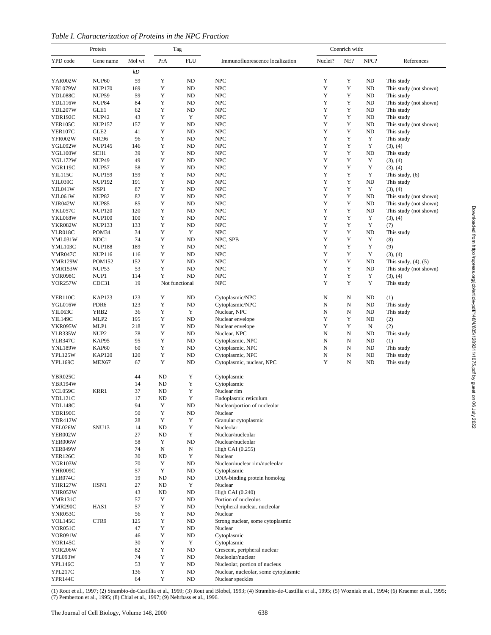*Table I. Characterization of Proteins in the NPC Fraction*

| Protein                   |                                | Tag        |                |          | Coenrich with:                               |         |        |           |                                      |
|---------------------------|--------------------------------|------------|----------------|----------|----------------------------------------------|---------|--------|-----------|--------------------------------------|
| YPD code                  | Gene name                      | Mol wt     | PrA            | FLU      | Immunofluorescence localization              | Nuclei? | NE?    | NPC?      | References                           |
|                           |                                | kD         |                |          |                                              |         |        |           |                                      |
| YAR002W                   | NUP <sub>60</sub>              | 59         | Y              | ND       | <b>NPC</b>                                   | Y       | Y      | ND        | This study                           |
| YBL079W                   | <b>NUP170</b>                  | 169        | Y              | ND       | <b>NPC</b>                                   | Y       | Y      | ND        | This study (not shown)               |
| YDL088C<br>YDL116W        | NUP59<br><b>NUP84</b>          | 59<br>84   | Y<br>Y         | ND<br>ND | <b>NPC</b><br><b>NPC</b>                     | Y<br>Y  | Y<br>Y | ND<br>ND  | This study<br>This study (not shown) |
| YDL207W                   | GLE1                           | 62         | Y              | ND       | <b>NPC</b>                                   | Y       | Y      | ND        | This study                           |
| <b>YDR192C</b>            | NUP <sub>42</sub>              | 43         | Y              | Y        | <b>NPC</b>                                   | Y       | Y      | ND        | This study                           |
| <b>YER105C</b>            | <b>NUP157</b>                  | 157        | Y              | ND       | <b>NPC</b>                                   | Y       | Y      | ND        | This study (not shown)               |
| <b>YER107C</b>            | GLE <sub>2</sub>               | 41         | Y              | ND       | <b>NPC</b>                                   | Y       | Y      | ND        | This study                           |
| YFR002W                   | NIC <sub>96</sub>              | 96         | Y              | ND       | <b>NPC</b>                                   | Y       | Y      | Y         | This study                           |
| YGL092W                   | <b>NUP145</b>                  | 146        | Y<br>Y         | ND       | <b>NPC</b>                                   | Y       | Y      | Y         | (3), (4)                             |
| YGL100W<br>YGL172W        | SEH1<br>NUP <sub>49</sub>      | 39<br>49   | Y              | ND<br>ND | <b>NPC</b><br><b>NPC</b>                     | Y<br>Y  | Y<br>Y | ND<br>Y   | This study<br>(3), (4)               |
| <b>YGR119C</b>            | <b>NUP57</b>                   | 58         | Y              | ND       | <b>NPC</b>                                   | Y       | Y      | Y         | (3), (4)                             |
| YIL115C                   | <b>NUP159</b>                  | 159        | Y              | ND       | <b>NPC</b>                                   | Y       | Y      | Y         | This study, $(6)$                    |
| YJL039C                   | <b>NUP192</b>                  | 191        | Y              | ND       | <b>NPC</b>                                   | Y       | Y      | ND        | This study                           |
| YJL041W                   | NSP1                           | 87         | Y              | ND       | <b>NPC</b>                                   | Y       | Y      | Y         | (3), (4)                             |
| YJL061W                   | <b>NUP82</b>                   | 82         | Y              | ND       | <b>NPC</b>                                   | Y       | Y      | ND        | This study (not shown)               |
| <b>YJR042W</b>            | <b>NUP85</b>                   | 85         | Y              | ND       | <b>NPC</b>                                   | Y       | Y      | ND        | This study (not shown)               |
| YKL057C<br>YKL068W        | <b>NUP120</b><br><b>NUP100</b> | 120<br>100 | Y<br>Y         | ND<br>ND | <b>NPC</b><br><b>NPC</b>                     | Y<br>Y  | Y<br>Y | ND<br>Y   | This study (not shown)               |
| YKR082W                   | <b>NUP133</b>                  | 133        | Y              | ND       | <b>NPC</b>                                   | Y       | Y      | Y         | (3), (4)<br>(7)                      |
| YLR018C                   | POM34                          | 34         | Y              | Y        | <b>NPC</b>                                   | Y       | Y      | ND        | This study                           |
| YML031W                   | NDC1                           | 74         | Y              | ND       | NPC, SPB                                     | Y       | Y      | Y         | (8)                                  |
| YML103C                   | <b>NUP188</b>                  | 189        | Y              | ND       | <b>NPC</b>                                   | Y       | Y      | Y         | (9)                                  |
| YMR047C                   | <b>NUP116</b>                  | 116        | Y              | ND       | <b>NPC</b>                                   | Y       | Y      | Y         | (3), (4)                             |
| <b>YMR129W</b>            | <b>POM152</b>                  | 152        | Y              | ND       | <b>NPC</b>                                   | Y       | Y      | ND        | This study, $(4)$ , $(5)$            |
| YMR153W                   | NUP53                          | 53         | Y              | ND       | <b>NPC</b>                                   | Y       | Y      | ND        | This study (not shown)               |
| <b>YOR098C</b>            | NUP1<br>CDC31                  | 114<br>19  | Y              | ND       | <b>NPC</b><br><b>NPC</b>                     | Y<br>Y  | Y<br>Y | Y<br>Y    | (3), (4)                             |
| <b>YOR257W</b>            |                                |            | Not functional |          |                                              |         |        |           | This study                           |
| YER110C                   | <b>KAP123</b>                  | 123        | Y              | ND       | Cytoplasmic/NPC                              | N       | N      | ND        | (1)                                  |
| YGL016W                   | PDR <sub>6</sub>               | 123        | Y              | ND       | Cytoplasmic/NPC                              | N       | N      | ND        | This study                           |
| YIL063C                   | YRB <sub>2</sub>               | 36         | Y              | Y        | Nuclear, NPC                                 | N       | N      | ND        | This study                           |
| YIL149C<br>YKR095W        | MLP <sub>2</sub><br>MLP1       | 195<br>218 | Y<br>Y         | ND<br>ND | Nuclear envelope<br>Nuclear envelope         | Y<br>Y  | Y<br>Y | ND<br>N   | (2)<br>(2)                           |
| YLR335W                   | NUP <sub>2</sub>               | 78         | Y              | ND       | Nuclear, NPC                                 | N       | N      | ND        | This study                           |
| YLR347C                   | KAP95                          | 95         | Y              | ND       | Cytoplasmic, NPC                             | N       | N      | <b>ND</b> | (1)                                  |
| <b>YNL189W</b>            | <b>KAP60</b>                   | 60         | Y              | ND       | Cytoplasmic, NPC                             | N       | N      | <b>ND</b> | This study                           |
| YPL125W                   | <b>KAP120</b>                  | 120        | Y              | ND       | Cytoplasmic, NPC                             | N       | N      | ND        | This study                           |
| YPL169C                   | MEX67                          | 67         | Y              | ND       | Cytoplasmic, nuclear, NPC                    | Y       | N      | ND        | This study                           |
| YBR025C                   |                                | 44         | ND             | Y        | Cytoplasmic                                  |         |        |           |                                      |
| <b>YBR194W</b>            |                                | 14         | ND             | Y        | Cytoplasmic                                  |         |        |           |                                      |
| YCL059C                   | KRR1                           | 37         | ND             | Y        | Nuclear rim                                  |         |        |           |                                      |
| YDL121C                   |                                | 17         | ND             | Y        | Endoplasmic reticulum                        |         |        |           |                                      |
| YDL148C<br><b>YDR190C</b> |                                | 94<br>50   | Y<br>Y         | ND<br>ND | Nuclear/portion of nucleolar<br>Nuclear      |         |        |           |                                      |
| YDR412W                   |                                | 28         | Y              | Y        | Granular cytoplasmic                         |         |        |           |                                      |
| YEL026W                   | SNU13                          | 14         | ND             | Y        | Nucleolar                                    |         |        |           |                                      |
| YER002W                   |                                | 27         | ND             | Y        | Nuclear/nucleolar                            |         |        |           |                                      |
| YER006W                   |                                | 58         | Y              | ND       | Nuclear/nucleolar                            |         |        |           |                                      |
| <b>YER049W</b>            |                                | 74         | N              | N        | High CAI (0.255)                             |         |        |           |                                      |
| YER126C                   |                                | 30         | ND             | Y        | Nuclear                                      |         |        |           |                                      |
| <b>YGR103W</b><br>YHR009C |                                | 70<br>57   | Y<br>Y         | ND<br>ND | Nuclear/nuclear rim/nucleolar<br>Cytoplasmic |         |        |           |                                      |
| YLR074C                   |                                | 19         | ND             | ND       | DNA-binding protein homolog                  |         |        |           |                                      |
| <b>YHR127W</b>            | HSN1                           | 27         | ND             | Y        | Nuclear                                      |         |        |           |                                      |
| YHR052W                   |                                | 43         | ND             | ND       | High CAI (0.240)                             |         |        |           |                                      |
| YMR131C                   |                                | 57         | Y              | ND       | Portion of nucleolus                         |         |        |           |                                      |
| <b>YMR290C</b>            | HAS1                           | 57         | Y              | ND       | Peripheral nuclear, nucleolar                |         |        |           |                                      |
| YNR053C                   |                                | 56         | Y              | ND       | Nuclear                                      |         |        |           |                                      |
| YOL145C                   | CTR9                           | 125        | Y              | ND       | Strong nuclear, some cytoplasmic             |         |        |           |                                      |
| YOR051C<br><b>YOR091W</b> |                                | 47<br>46   | Y<br>Y         | ND<br>ND | Nuclear<br>Cytoplasmic                       |         |        |           |                                      |
| <b>YOR145C</b>            |                                | 30         | Y              | Y        | Cytoplasmic                                  |         |        |           |                                      |
| <b>YOR206W</b>            |                                | 82         | Y              | ND       | Crescent, peripheral nuclear                 |         |        |           |                                      |
| YPL093W                   |                                | 74         | Y              | ND       | Nucleolar/nuclear                            |         |        |           |                                      |
| YPL146C                   |                                | 53         | Y              | ND       | Nucleolar, portion of nucleus                |         |        |           |                                      |
| YPL217C                   |                                | 136        | Y              | ND       | Nuclear, nucleolar, some cytoplasmic         |         |        |           |                                      |
| YPR144C                   |                                | 64         | Y              | ND       | Nuclear speckles                             |         |        |           |                                      |

(1) Rout et al., 1997; (2) Strambio-de-Castillia et al., 1999; (3) Rout and Blobel, 1993; (4) Strambio-de-Castillia et al., 1995; (5) Wozniak et al., 1994; (6) Kraemer et al., 1995;<br>(7) Pemberton et al., 1995; (8) Chial et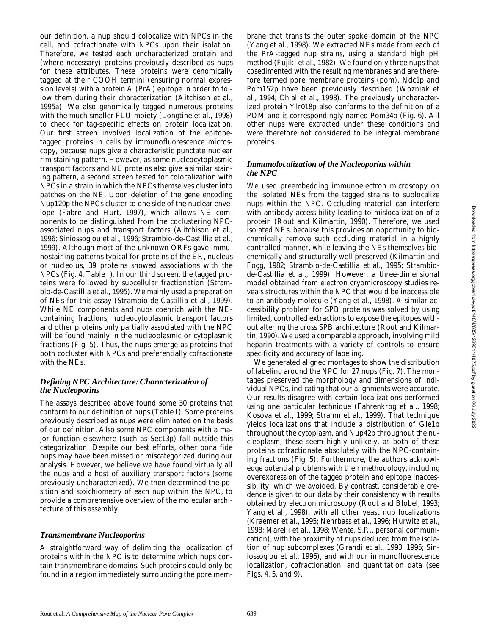our definition, a nup should colocalize with NPCs in the cell, and cofractionate with NPCs upon their isolation. Therefore, we tested each uncharacterized protein and (where necessary) proteins previously described as nups for these attributes. These proteins were genomically tagged at their COOH termini (ensuring normal expression levels) with a protein A (PrA) epitope in order to follow them during their characterization (Aitchison et al., 1995a). We also genomically tagged numerous proteins with the much smaller FLU moiety (Longtine et al., 1998) to check for tag-specific effects on protein localization. Our first screen involved localization of the epitopetagged proteins in cells by immunofluorescence microscopy, because nups give a characteristic punctate nuclear rim staining pattern. However, as some nucleocytoplasmic transport factors and NE proteins also give a similar staining pattern, a second screen tested for colocalization with NPCs in a strain in which the NPCs themselves cluster into patches on the NE. Upon deletion of the gene encoding Nup120p the NPCs cluster to one side of the nuclear envelope (Fabre and Hurt, 1997), which allows NE components to be distinguished from the coclustering NPCassociated nups and transport factors (Aitchison et al., 1996; Siniossoglou et al., 1996; Strambio-de-Castillia et al., 1999). Although most of the unknown ORFs gave immunostaining patterns typical for proteins of the ER, nucleus or nucleolus, 39 proteins showed associations with the NPCs (Fig. 4, Table I). In our third screen, the tagged proteins were followed by subcellular fractionation (Strambio-de-Castillia et al., 1995). We mainly used a preparation of NEs for this assay (Strambio-de-Castillia et al., 1999). While NE components and nups coenrich with the NEcontaining fractions, nucleocytoplasmic transport factors and other proteins only partially associated with the NPC will be found mainly in the nucleoplasmic or cytoplasmic fractions (Fig. 5). Thus, the nups emerge as proteins that both cocluster with NPCs and preferentially cofractionate with the NEs.

#### *Defining NPC Architecture: Characterization of the Nucleoporins*

The assays described above found some 30 proteins that conform to our definition of nups (Table I). Some proteins previously described as nups were eliminated on the basis of our definition. Also some NPC components with a major function elsewhere (such as Sec13p) fall outside this categorization. Despite our best efforts, other bona fide nups may have been missed or miscategorized during our analysis. However, we believe we have found virtually all the nups and a host of auxiliary transport factors (some previously uncharacterized). We then determined the position and stoichiometry of each nup within the NPC, to provide a comprehensive overview of the molecular architecture of this assembly.

#### *Transmembrane Nucleoporins*

A straightforward way of delimiting the localization of proteins within the NPC is to determine which nups contain transmembrane domains. Such proteins could only be found in a region immediately surrounding the pore mem-

brane that transits the outer spoke domain of the NPC (Yang et al., 1998). We extracted NEs made from each of the PrA-tagged nup strains, using a standard high pH method (Fujiki et al., 1982). We found only three nups that cosedimented with the resulting membranes and are therefore termed pore membrane proteins (pom). Ndc1p and Pom152p have been previously described (Wozniak et al., 1994; Chial et al., 1998). The previously uncharacterized protein Ylr018p also conforms to the definition of a POM and is correspondingly named Pom34p (Fig. 6). All other nups were extracted under these conditions and were therefore not considered to be integral membrane proteins.

#### *Immunolocalization of the Nucleoporins within the NPC*

We used preembedding immunoelectron microscopy on the isolated NEs from the tagged strains to sublocalize nups within the NPC. Occluding material can interfere with antibody accessibility leading to mislocalization of a protein (Rout and Kilmartin, 1990). Therefore, we used isolated NEs, because this provides an opportunity to biochemically remove such occluding material in a highly controlled manner, while leaving the NEs themselves biochemically and structurally well preserved (Kilmartin and Fogg, 1982; Strambio-de-Castillia et al., 1995; Strambiode-Castillia et al., 1999). However, a three-dimensional model obtained from electron cryomicroscopy studies reveals structures within the NPC that would be inaccessible to an antibody molecule (Yang et al., 1998). A similar accessibility problem for SPB proteins was solved by using limited, controlled extractions to expose the epitopes without altering the gross SPB architecture (Rout and Kilmartin, 1990). We used a comparable approach, involving mild heparin treatments with a variety of controls to ensure specificity and accuracy of labeling.

We generated aligned montages to show the distribution of labeling around the NPC for 27 nups (Fig. 7). The montages preserved the morphology and dimensions of individual NPCs, indicating that our alignments were accurate. Our results disagree with certain localizations performed using one particular technique (Fahrenkrog et al., 1998; Kosova et al., 1999; Strahm et al., 1999). That technique yields localizations that include a distribution of Gle1p throughout the cytoplasm, and Nup42p throughout the nucleoplasm; these seem highly unlikely, as both of these proteins cofractionate absolutely with the NPC-containing fractions (Fig. 5). Furthermore, the authors acknowledge potential problems with their methodology, including overexpression of the tagged protein and epitope inaccessibility, which we avoided. By contrast, considerable credence is given to our data by their consistency with results obtained by electron microscopy (Rout and Blobel, 1993; Yang et al., 1998), with all other yeast nup localizations (Kraemer et al., 1995; Nehrbass et al., 1996; Hurwitz et al., 1998; Marelli et al., 1998; Wente, S.R., personal communication), with the proximity of nups deduced from the isolation of nup subcomplexes (Grandi et al., 1993, 1995; Siniossoglou et al., 1996), and with our immunofluorescence localization, cofractionation, and quantitation data (see Figs. 4, 5, and 9).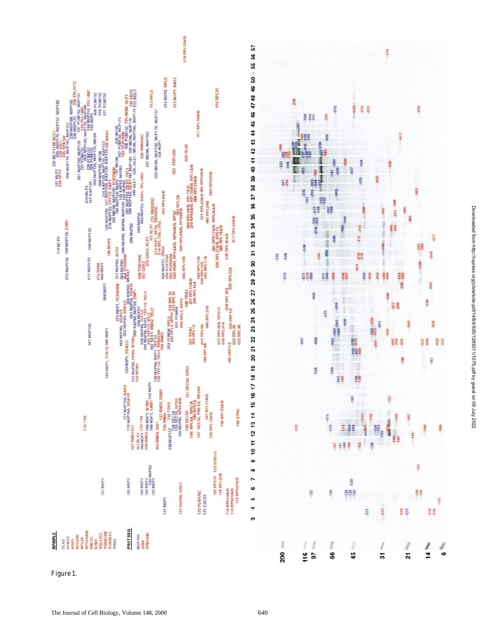

Downloaded from http://rupress.org/jcb/article-pdf/148/4/635/1289311/1075.pdf by guest on 06 July 2022

Downloaded from http://rupress.org/jcb/article-pdf/148/4/635/1289311/1075.pdf by guest on 06 July 2022

*Figure 1.*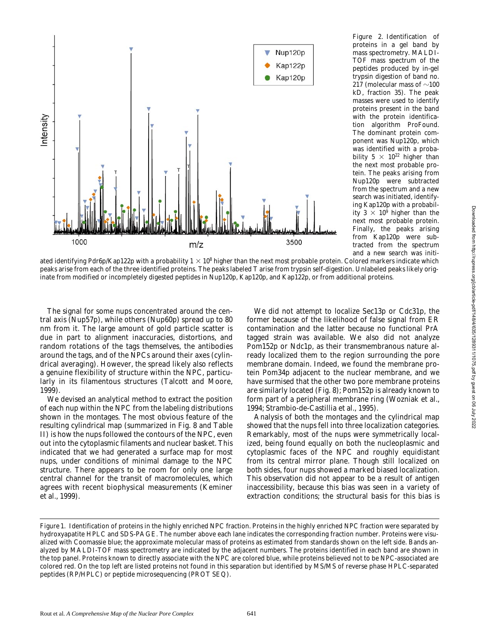

*Figure 2.* Identification of proteins in a gel band by mass spectrometry. MALDI-TOF mass spectrum of the peptides produced by in-gel trypsin digestion of band no. 217 (molecular mass of  $\sim$ 100 kD, fraction 35). The peak masses were used to identify proteins present in the band with the protein identification algorithm ProFound. The dominant protein component was Nup120p, which was identified with a probability  $5 \times 10^{22}$  higher than the next most probable protein. The peaks arising from Nup120p were subtracted from the spectrum and a new search was initiated, identifying Kap120p with a probability 3  $\times$  10<sup>9</sup> higher than the next most probable protein. Finally, the peaks arising from Kap120p were subtracted from the spectrum and a new search was initi-

ated identifying Pdr6p/Kap122p with a probability 1  $\times$  10 $^8$  higher than the next most probable protein. Colored markers indicate which peaks arise from each of the three identified proteins. The peaks labeled T arise from trypsin self-digestion. Unlabeled peaks likely originate from modified or incompletely digested peptides in Nup120p, Kap120p, and Kap122p, or from additional proteins.

The signal for some nups concentrated around the central axis (Nup57p), while others (Nup60p) spread up to 80 nm from it. The large amount of gold particle scatter is due in part to alignment inaccuracies, distortions, and random rotations of the tags themselves, the antibodies around the tags, and of the NPCs around their axes (cylindrical averaging). However, the spread likely also reflects a genuine flexibility of structure within the NPC, particularly in its filamentous structures (Talcott and Moore, 1999).

We devised an analytical method to extract the position of each nup within the NPC from the labeling distributions shown in the montages. The most obvious feature of the resulting cylindrical map (summarized in Fig. 8 and Table II) is how the nups followed the contours of the NPC, even out into the cytoplasmic filaments and nuclear basket. This indicated that we had generated a surface map for most nups, under conditions of minimal damage to the NPC structure. There appears to be room for only one large central channel for the transit of macromolecules, which agrees with recent biophysical measurements (Keminer et al., 1999).

We did not attempt to localize Sec13p or Cdc31p, the former because of the likelihood of false signal from ER contamination and the latter because no functional PrA tagged strain was available. We also did not analyze Pom152p or Ndc1p, as their transmembranous nature already localized them to the region surrounding the pore membrane domain. Indeed, we found the membrane protein Pom34p adjacent to the nuclear membrane, and we have surmised that the other two pore membrane proteins are similarly located (Fig. 8); Pom152p is already known to form part of a peripheral membrane ring (Wozniak et al., 1994; Strambio-de-Castillia et al., 1995).

Analysis of both the montages and the cylindrical map showed that the nups fell into three localization categories. Remarkably, most of the nups were symmetrically localized, being found equally on both the nucleoplasmic and cytoplasmic faces of the NPC and roughly equidistant from its central mirror plane. Though still localized on both sides, four nups showed a marked biased localization. This observation did not appear to be a result of antigen inaccessibility, because this bias was seen in a variety of extraction conditions; the structural basis for this bias is

*Figure 1.* Identification of proteins in the highly enriched NPC fraction. Proteins in the highly enriched NPC fraction were separated by hydroxyapatite HPLC and SDS-PAGE. The number above each lane indicates the corresponding fraction number. Proteins were visualized with Coomassie blue; the approximate molecular mass of proteins as estimated from standards shown on the left side. Bands analyzed by MALDI-TOF mass spectrometry are indicated by the adjacent numbers. The proteins identified in each band are shown in the top panel. Proteins known to directly associate with the NPC are colored blue, while proteins believed not to be NPC-associated are colored red. On the top left are listed proteins not found in this separation but identified by MS/MS of reverse phase HPLC-separated peptides (RP/HPLC) or peptide microsequencing (PROT SEQ).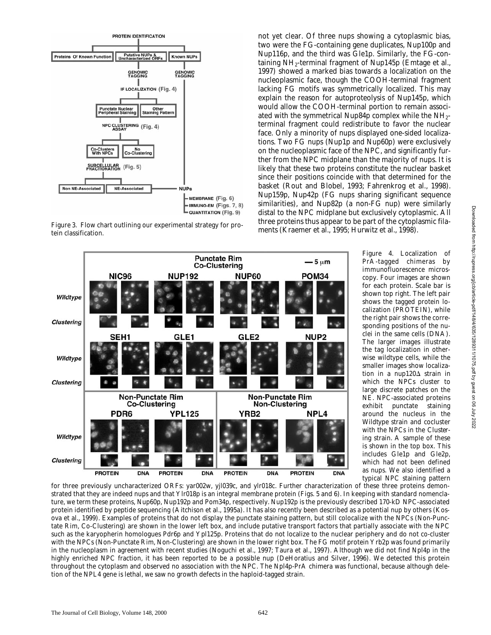

ments (Kraemer et al., 1995; Hurwitz et al., 1998). *Figure 3.* Flow chart outlining our experimental strategy for protein classification.

not yet clear. Of three nups showing a cytoplasmic bias, two were the FG-containing gene duplicates, Nup100p and Nup116p, and the third was Gle1p. Similarly, the FG-containing NH<sub>2</sub>-terminal fragment of Nup145p (Emtage et al., 1997) showed a marked bias towards a localization on the nucleoplasmic face, though the COOH-terminal fragment lacking FG motifs was symmetrically localized. This may explain the reason for autoproteolysis of Nup145p, which would allow the COOH-terminal portion to remain associated with the symmetrical Nup84p complex while the  $NH_{2}$ terminal fragment could redistribute to favor the nuclear face. Only a minority of nups displayed one-sided localizations. Two FG nups (Nup1p and Nup60p) were exclusively on the nucleoplasmic face of the NPC, and significantly further from the NPC midplane than the majority of nups. It is likely that these two proteins constitute the nuclear basket since their positions coincide with that determined for the basket (Rout and Blobel, 1993; Fahrenkrog et al., 1998). Nup159p, Nup42p (FG nups sharing significant sequence similarities), and Nup82p (a non-FG nup) were similarly distal to the NPC midplane but exclusively cytoplasmic. All three proteins thus appear to be part of the cytoplasmic fila-



*Figure 4.* Localization of PrA-tagged chimeras by immunofluorescence microscopy. Four images are shown for each protein. Scale bar is shown top right. The left pair shows the tagged protein localization (PROTEIN), while the right pair shows the corresponding positions of the nuclei in the same cells (DNA). The larger images illustrate the tag localization in otherwise wildtype cells, while the smaller images show localization in a nup120 $\Delta$  strain in which the NPCs cluster to large discrete patches on the NE. NPC-associated proteins exhibit punctate staining around the nucleus in the *Wildtype* strain and cocluster with the NPCs in the *Clustering* strain. A sample of these is shown in the top box. This includes Gle1p and Gle2p, which had not been defined as nups. We also identified a typical NPC staining pattern

for three previously uncharacterized ORFs: yar002w, yjl039c, and ylr018c. Further characterization of these three proteins demonstrated that they are indeed nups and that Ylr018p is an integral membrane protein (Figs. 5 and 6). In keeping with standard nomenclature, we term these proteins, Nup60p, Nup192p and Pom34p, respectively. Nup192p is the previously described 170-kD NPC-associated protein identified by peptide sequencing (Aitchison et al., 1995a). It has also recently been described as a potential nup by others (Kosova et al., 1999). Examples of proteins that do not display the punctate staining pattern, but still colocalize with the NPCs (Non-Punctate Rim, Co-Clustering) are shown in the lower left box, and include putative transport factors that partially associate with the NPC such as the karyopherin homologues Pdr6p and Ypl125p. Proteins that do not localize to the nuclear periphery and do not co-cluster with the NPCs (Non-Punctate Rim, Non-Clustering) are shown in the lower right box. The FG motif protein Yrb2p was found primarily in the nucleoplasm in agreement with recent studies (Noguchi et al., 1997; Taura et al., 1997). Although we did not find Npl4p in the highly enriched NPC fraction, it has been reported to be a possible nup (DeHoratius and Silver, 1996). We detected this protein throughout the cytoplasm and observed no association with the NPC. The Npl4p-PrA chimera was functional, because although deletion of the NPL4 gene is lethal, we saw no growth defects in the haploid-tagged strain.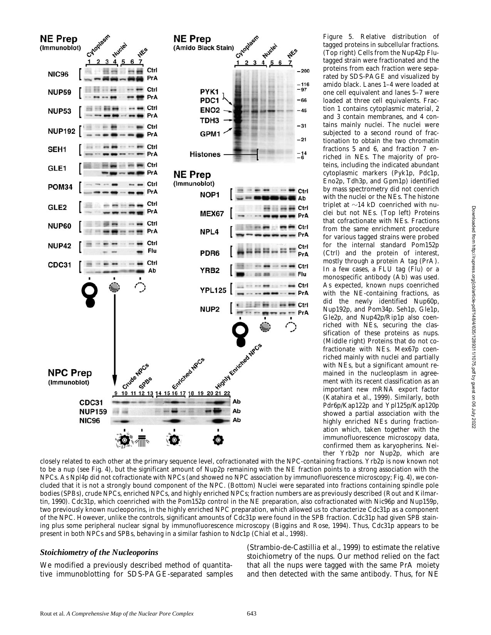

*Figure 5.* Relative distribution of tagged proteins in subcellular fractions. (Top right) Cells from the Nup42p Flutagged strain were fractionated and the proteins from each fraction were separated by SDS-PAGE and visualized by amido black. Lanes 1–4 were loaded at one cell equivalent and lanes 5–7 were loaded at three cell equivalents. Fraction 1 contains cytoplasmic material, 2 and 3 contain membranes, and 4 contains mainly nuclei. The nuclei were subjected to a second round of fractionation to obtain the two chromatin fractions 5 and 6, and fraction 7 enriched in NEs. The majority of proteins, including the indicated abundant cytoplasmic markers (Pyk1p, Pdc1p, Eno2p, Tdh3p, and Gpm1p) identified by mass spectrometry did not coenrich with the nuclei or the NEs. The histone triplet at  $\sim$ 14 kD coenriched with nuclei but not NEs. (Top left) Proteins that cofractionate with NEs. Fractions from the same enrichment procedure for various tagged strains were probed for the internal standard Pom152p (Ctrl) and the protein of interest, mostly through a protein A tag (PrA). In a few cases, a FLU tag (Flu) or a monospecific antibody (Ab) was used. As expected, known nups coenriched with the NE-containing fractions, as did the newly identified Nup60p, Nup192p, and Pom34p. Seh1p, Gle1p, Gle2p, and Nup42p/Rip1p also coenriched with NEs, securing the classification of these proteins as nups. (Middle right) Proteins that do not cofractionate with NEs. Mex67p coenriched mainly with nuclei and partially with NEs, but a significant amount remained in the nucleoplasm in agreement with its recent classification as an important new mRNA export factor (Katahira et al., 1999). Similarly, both Pdr6p/Kap122p and Ypl125p/Kap120p showed a partial association with the highly enriched NEs during fractionation which, taken together with the immunofluorescence microscopy data, confirmed them as karyopherins. Neither Yrb2p nor Nup2p, which are

closely related to each other at the primary sequence level, cofractionated with the NPC-containing fractions. Yrb2p is now known not to be a nup (see Fig. 4), but the significant amount of Nup2p remaining with the NE fraction points to a strong association with the NPCs. As Npl4p did not cofractionate with NPCs (and showed no NPC association by immunofluorescence microscopy; Fig. 4), we concluded that it is not a strongly bound component of the NPC. (Bottom) Nuclei were separated into fractions containing spindle pole bodies (SPBs), crude NPCs, enriched NPCs, and highly enriched NPCs; fraction numbers are as previously described (Rout and Kilmartin, 1990). Cdc31p, which coenriched with the Pom152p control in the NE preparation, also cofractionated with Nic96p and Nup159p, two previously known nucleoporins, in the highly enriched NPC preparation, which allowed us to characterize Cdc31p as a component of the NPC. However, unlike the controls, significant amounts of Cdc31p were found in the SPB fraction. Cdc31p had given SPB staining plus some peripheral nuclear signal by immunofluorescence microscopy (Biggins and Rose, 1994). Thus, Cdc31p appears to be present in both NPCs and SPBs, behaving in a similar fashion to Ndc1p (Chial et al., 1998).

#### *Stoichiometry of the Nucleoporins*

We modified a previously described method of quantitative immunoblotting for SDS-PAGE-separated samples (Strambio-de-Castillia et al., 1999) to estimate the relative stoichiometry of the nups. Our method relied on the fact that all the nups were tagged with the same PrA moiety and then detected with the same antibody. Thus, for NE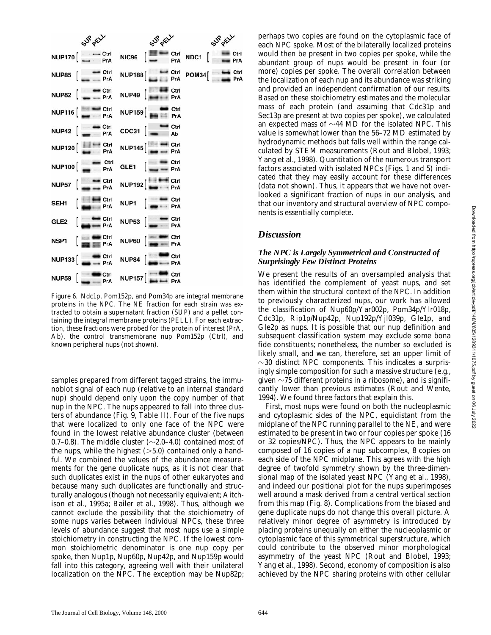| SUP pELL                                                                                                                                                                                                                                                                                                                                                                                                                     | SUP pELL                                                                                                                                                                                                                                                                                                                          | SUP OFLY              |
|------------------------------------------------------------------------------------------------------------------------------------------------------------------------------------------------------------------------------------------------------------------------------------------------------------------------------------------------------------------------------------------------------------------------------|-----------------------------------------------------------------------------------------------------------------------------------------------------------------------------------------------------------------------------------------------------------------------------------------------------------------------------------|-----------------------|
| $NUP170$ $\begin{array}{c} \begin{array}{c} \text{Ctrl} \\ \text{Pra} \end{array} \end{array}$                                                                                                                                                                                                                                                                                                                               | $NIC96$ $\begin{bmatrix} \begin{matrix} \begin{matrix} \begin{matrix} \end{matrix} \\ \end{matrix} \\ \begin{matrix} \end{matrix} \\ \end{bmatrix} \end{bmatrix}$<br>PrA                                                                                                                                                          | Ctrl<br>NDC1 [<br>PrA |
| $NUP85$ $\begin{array}{c} \begin{array}{c} \text{Cl} \\ \text{C} \end{array}$ $\begin{array}{c} \text{Cl} \\ \text{Pra} \end{array}$                                                                                                                                                                                                                                                                                         | $NUP188$ $Ctr1$                                                                                                                                                                                                                                                                                                                   | Ctrl<br>PrA<br>POM34  |
| NUP82 $\left[\begin{array}{c} \text{Cl} \\ \text{Cl} \end{array}\right]$ Pra                                                                                                                                                                                                                                                                                                                                                 | NUP49   Ctrl                                                                                                                                                                                                                                                                                                                      |                       |
| $NUP116$ $\begin{array}{ c c }\n\hline\n\end{array}$ $\begin{array}{ c c }\n\hline\n\end{array}$ $\begin{array}{ c c }\n\hline\n\end{array}$ $\begin{array}{ c c }\n\hline\n\end{array}$ $\begin{array}{ c }\n\hline\n\end{array}$ $\begin{array}{ c }\n\hline\n\end{array}$ $\begin{array}{ c }\n\hline\n\end{array}$ $\begin{array}{ c }\n\hline\n\end{array}$ $\begin{array}{ c }\n\hline\n\end{array}$ $\begin{array}{ $ | $NUP159$ $PFA$                                                                                                                                                                                                                                                                                                                    |                       |
| NUP42 $\left[\begin{array}{cc} \text{Ctr} \\ \text{Pr} \end{array}\right]$                                                                                                                                                                                                                                                                                                                                                   | Ctrl<br>$\frac{1}{2}$ $\frac{1}{2}$ $\frac{1}{2}$ $\frac{1}{2}$ $\frac{1}{2}$ $\frac{1}{2}$ $\frac{1}{2}$ $\frac{1}{2}$ $\frac{1}{2}$ $\frac{1}{2}$ $\frac{1}{2}$ $\frac{1}{2}$ $\frac{1}{2}$ $\frac{1}{2}$ $\frac{1}{2}$ $\frac{1}{2}$ $\frac{1}{2}$ $\frac{1}{2}$ $\frac{1}{2}$ $\frac{1}{2}$ $\frac{1}{2}$ $\frac{1}{2}$<br>Ab |                       |
| $NUP120$ $\begin{array}{ccc} & & \text{Ctr} \\ \text{PFA} & & \text{Pra} \end{array}$                                                                                                                                                                                                                                                                                                                                        | $NUP145$ $NUP145$                                                                                                                                                                                                                                                                                                                 |                       |
| Ctrl<br>$NUP100$ $\begin{bmatrix} \end{bmatrix}$<br>PrA                                                                                                                                                                                                                                                                                                                                                                      | Ctrl<br>GLE1 $\boxed{\phantom{a} \phantom{a}}$<br>PrA                                                                                                                                                                                                                                                                             |                       |
| Ctrl<br>PrA<br>NUP57 $\boxed{\phantom{1}}$                                                                                                                                                                                                                                                                                                                                                                                   | $NUP192$ $\begin{bmatrix} 1 & 1 \\ 1 & 1 \end{bmatrix}$ $Ctr1$                                                                                                                                                                                                                                                                    |                       |
| SEH1 $\left[\begin{array}{cc} \bullet & \bullet \\ \bullet & \bullet \end{array}\right]$                                                                                                                                                                                                                                                                                                                                     | NUP1 $\begin{bmatrix} \text{int} \\ \text{min} \end{bmatrix}$ PrA                                                                                                                                                                                                                                                                 |                       |
| ● Ctrl<br>l an<br><b>GLE2</b><br>- PrA                                                                                                                                                                                                                                                                                                                                                                                       | Ctrl<br>PrA<br>$NUP53$ $\boxed{\phantom{1}}$                                                                                                                                                                                                                                                                                      |                       |
| Ctrl<br>$=$<br>NSP1<br>PrA                                                                                                                                                                                                                                                                                                                                                                                                   | Ctrl<br>$NUP60$ $\boxed{\phantom{1}}$<br>PrA                                                                                                                                                                                                                                                                                      |                       |
| $NUP133$ $\begin{array}{c} \begin{array}{c} \text{Cl} \\ \text{C} \end{array}$ $\begin{array}{c} \text{Cl} \\ \text{P} \end{array}$                                                                                                                                                                                                                                                                                          | Ctrl<br>$NUP84$ $\begin{bmatrix} \end{bmatrix}$<br>PrA                                                                                                                                                                                                                                                                            |                       |
| NUP59   Ctrl                                                                                                                                                                                                                                                                                                                                                                                                                 |                                                                                                                                                                                                                                                                                                                                   |                       |

*Figure 6.* Ndc1p, Pom152p, and Pom34p are integral membrane proteins in the NPC. The NE fraction for each strain was extracted to obtain a supernatant fraction (SUP) and a pellet containing the integral membrane proteins (PELL). For each extraction, these fractions were probed for the protein of interest (PrA, Ab), the control transmembrane nup Pom152p (Ctrl), and known peripheral nups (not shown).

samples prepared from different tagged strains, the immunoblot signal of each nup (relative to an internal standard nup) should depend only upon the copy number of that nup in the NPC. The nups appeared to fall into three clusters of abundance (Fig. 9, Table II). Four of the five nups that were localized to only one face of the NPC were found in the lowest relative abundance cluster (between 0.7–0.8). The middle cluster  $(\sim 2.0-4.0)$  contained most of the nups, while the highest  $(>=5.0)$  contained only a handful. We combined the values of the abundance measurements for the gene duplicate nups, as it is not clear that such duplicates exist in the nups of other eukaryotes and because many such duplicates are functionally and structurally analogous (though not necessarily equivalent; Aitchison et al., 1995a; Bailer et al., 1998). Thus, although we cannot exclude the possibility that the stoichiometry of some nups varies between individual NPCs, these three levels of abundance suggest that most nups use a simple stoichiometry in constructing the NPC. If the lowest common stoichiometric denominator is one nup copy per spoke, then Nup1p, Nup60p, Nup42p, and Nup159p would fall into this category, agreeing well with their unilateral localization on the NPC. The exception may be Nup82p; perhaps two copies are found on the cytoplasmic face of each NPC spoke. Most of the bilaterally localized proteins would then be present in two copies per spoke, while the abundant group of nups would be present in four (or more) copies per spoke. The overall correlation between the localization of each nup and its abundance was striking and provided an independent confirmation of our results. Based on these stoichiometry estimates and the molecular mass of each protein (and assuming that Cdc31p and Sec13p are present at two copies per spoke), we calculated an expected mass of  $\sim$ 44 MD for the isolated NPC. This value is somewhat lower than the 56–72 MD estimated by hydrodynamic methods but falls well within the range calculated by STEM measurements (Rout and Blobel, 1993; Yang et al., 1998). Quantitation of the numerous transport factors associated with isolated NPCs (Figs. 1 and 5) indicated that they may easily account for these differences (data not shown). Thus, it appears that we have not overlooked a significant fraction of nups in our analysis, and that our inventory and structural overview of NPC components is essentially complete.

#### *Discussion*

#### *The NPC is Largely Symmetrical and Constructed of Surprisingly Few Distinct Proteins*

We present the results of an oversampled analysis that has identified the complement of yeast nups, and set them within the structural context of the NPC. In addition to previously characterized nups, our work has allowed the classification of Nup60p/Yar002p, Pom34p/Ylr018p, Cdc31p, Rip1p/Nup42p, Nup192p/Yjl039p, Gle1p, and Gle2p as nups. It is possible that our nup definition and subsequent classification system may exclude some bona fide constituents; nonetheless, the number so excluded is likely small, and we can, therefore, set an upper limit of  $\sim$ 30 distinct NPC components. This indicates a surprisingly simple composition for such a massive structure (e.g., given  $\sim$ 75 different proteins in a ribosome), and is significantly lower than previous estimates (Rout and Wente, 1994). We found three factors that explain this.

First, most nups were found on both the nucleoplasmic and cytoplasmic sides of the NPC, equidistant from the midplane of the NPC running parallel to the NE, and were estimated to be present in two or four copies per spoke (16 or 32 copies/NPC). Thus, the NPC appears to be mainly composed of 16 copies of a nup subcomplex, 8 copies on each side of the NPC midplane. This agrees with the high degree of twofold symmetry shown by the three-dimensional map of the isolated yeast NPC (Yang et al., 1998), and indeed our positional plot for the nups superimposes well around a mask derived from a central vertical section from this map (Fig. 8). Complications from the biased and gene duplicate nups do not change this overall picture. A relatively minor degree of asymmetry is introduced by placing proteins unequally on either the nucleoplasmic or cytoplasmic face of this symmetrical superstructure, which could contribute to the observed minor morphological asymmetry of the yeast NPC (Rout and Blobel, 1993; Yang et al., 1998). Second, economy of composition is also achieved by the NPC sharing proteins with other cellular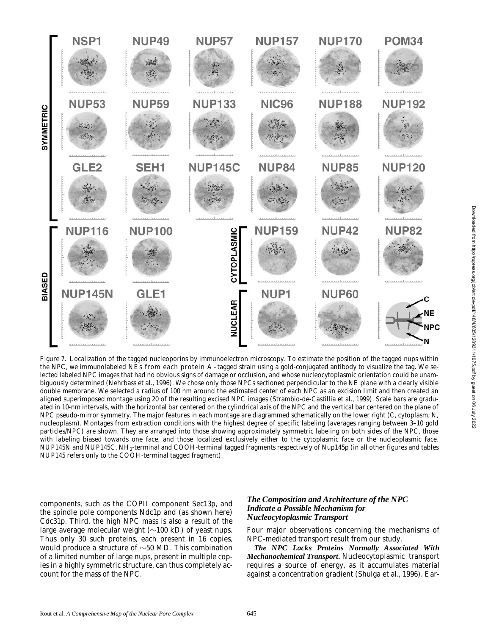

*Figure 7.* Localization of the tagged nucleoporins by immunoelectron microscopy. To estimate the position of the tagged nups within the NPC, we immunolabeled NEs from each protein A–tagged strain using a gold-conjugated antibody to visualize the tag. We selected labeled NPC images that had no obvious signs of damage or occlusion, and whose nucleocytoplasmic orientation could be unambiguously determined (Nehrbass et al., 1996). We chose only those NPCs sectioned perpendicular to the NE plane with a clearly visible double membrane. We selected a radius of 100 nm around the estimated center of each NPC as an excision limit and then created an aligned superimposed montage using 20 of the resulting excised NPC images (Strambio-de-Castillia et al., 1999). Scale bars are graduated in 10-nm intervals, with the horizontal bar centered on the cylindrical axis of the NPC and the vertical bar centered on the plane of NPC pseudo-mirror symmetry. The major features in each montage are diagrammed schematically on the lower right (C, cytoplasm; N, nucleoplasm). Montages from extraction conditions with the highest degree of specific labeling (averages ranging between 3–10 gold particles/NPC) are shown. They are arranged into those showing approximately symmetric labeling on both sides of the NPC, those with labeling biased towards one face, and those localized exclusively either to the cytoplasmic face or the nucleoplasmic face. NUP145N and NUP145C, NH2-terminal and COOH-terminal tagged fragments respectively of Nup145p (in all other figures and tables NUP145 refers only to the COOH-terminal tagged fragment).

components, such as the COPII component Sec13p, and the spindle pole components Ndc1p and (as shown here) Cdc31p. Third, the high NPC mass is also a result of the large average molecular weight  $(\sim 100$  kD) of yeast nups. Thus only 30 such proteins, each present in 16 copies, would produce a structure of  $\sim$ 50 MD. This combination of a limited number of large nups, present in multiple copies in a highly symmetric structure, can thus completely account for the mass of the NPC.

#### *The Composition and Architecture of the NPC Indicate a Possible Mechanism for Nucleocytoplasmic Transport*

Four major observations concerning the mechanisms of NPC-mediated transport result from our study.

*The NPC Lacks Proteins Normally Associated With Mechanochemical Transport.* Nucleocytoplasmic transport requires a source of energy, as it accumulates material against a concentration gradient (Shulga et al., 1996). Ear-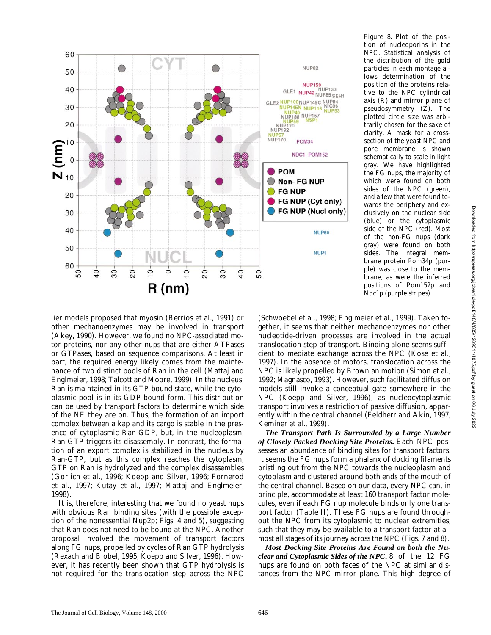

tion of nucleoporins in the NPC. Statistical analysis of the distribution of the gold particles in each montage allows determination of the position of the proteins relative to the NPC cylindrical axis (R) and mirror plane of pseudosymmetry (Z). The plotted circle size was arbitrarily chosen for the sake of clarity. A mask for a crosssection of the yeast NPC and pore membrane is shown schematically to scale in light gray. We have highlighted the FG nups, the majority of which were found on both sides of the NPC (green), and a few that were found towards the periphery and exclusively on the nuclear side (blue) or the cytoplasmic side of the NPC (red). Most of the non-FG nups (dark gray) were found on both sides. The integral membrane protein Pom34p (purple) was close to the membrane, as were the inferred positions of Pom152p and Ndc1p (purple stripes).

lier models proposed that myosin (Berrios et al., 1991) or other mechanoenzymes may be involved in transport (Akey, 1990). However, we found no NPC-associated motor proteins, nor any other nups that are either ATPases or GTPases, based on sequence comparisons. At least in part, the required energy likely comes from the maintenance of two distinct pools of Ran in the cell (Mattaj and Englmeier, 1998; Talcott and Moore, 1999). In the nucleus, Ran is maintained in its GTP-bound state, while the cytoplasmic pool is in its GDP-bound form. This distribution can be used by transport factors to determine which side of the NE they are on. Thus, the formation of an import complex between a kap and its cargo is stable in the presence of cytoplasmic Ran-GDP, but, in the nucleoplasm, Ran-GTP triggers its disassembly. In contrast, the formation of an export complex is stabilized in the nucleus by Ran-GTP, but as this complex reaches the cytoplasm, GTP on Ran is hydrolyzed and the complex disassembles (Gorlich et al., 1996; Koepp and Silver, 1996; Fornerod et al., 1997; Kutay et al., 1997; Mattaj and Englmeier, 1998).

It is, therefore, interesting that we found no yeast nups with obvious Ran binding sites (with the possible exception of the nonessential Nup2p; Figs. 4 and 5), suggesting that Ran does not need to be bound at the NPC. Another proposal involved the movement of transport factors along FG nups, propelled by cycles of Ran GTP hydrolysis (Rexach and Blobel, 1995; Koepp and Silver, 1996). However, it has recently been shown that GTP hydrolysis is not required for the translocation step across the NPC

(Schwoebel et al., 1998; Englmeier et al., 1999). Taken together, it seems that neither mechanoenzymes nor other nucleotide-driven processes are involved in the actual translocation step of transport. Binding alone seems sufficient to mediate exchange across the NPC (Kose et al., 1997). In the absence of motors, translocation across the NPC is likely propelled by Brownian motion (Simon et al., 1992; Magnasco, 1993). However, such facilitated diffusion models still invoke a conceptual gate somewhere in the NPC (Koepp and Silver, 1996), as nucleocytoplasmic transport involves a restriction of passive diffusion, apparently within the central channel (Feldherr and Akin, 1997; Keminer et al., 1999).

*The Transport Path Is Surrounded by a Large Number of Closely Packed Docking Site Proteins.* Each NPC possesses an abundance of binding sites for transport factors. It seems the FG nups form a phalanx of docking filaments bristling out from the NPC towards the nucleoplasm and cytoplasm and clustered around both ends of the mouth of the central channel. Based on our data, every NPC can, in principle, accommodate at least 160 transport factor molecules, even if each FG nup molecule binds only one transport factor (Table II). These FG nups are found throughout the NPC from its cytoplasmic to nuclear extremities, such that they may be available to a transport factor at almost all stages of its journey across the NPC (Figs. 7 and 8).

*Most Docking Site Proteins Are Found on both the Nuclear and Cytoplasmic Sides of the NPC.* 8 of the 12 FG nups are found on both faces of the NPC at similar distances from the NPC mirror plane. This high degree of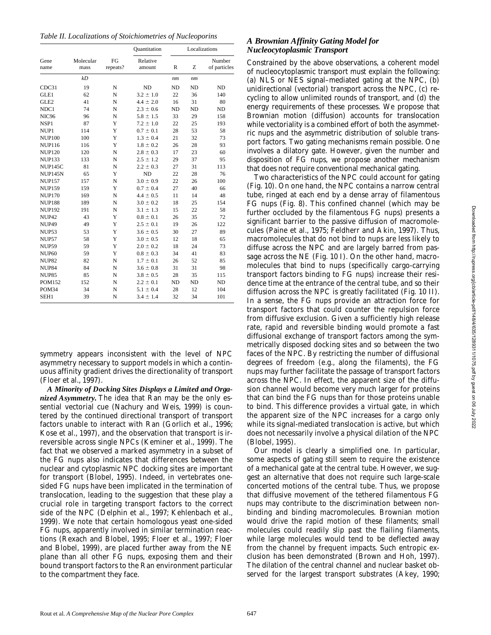*Table II. Localizations of Stoichiometries of Nucleoporins*

|                   |                   |                | Ouantitation       | Localizations |                |                        |  |
|-------------------|-------------------|----------------|--------------------|---------------|----------------|------------------------|--|
| Gene<br>name      | Molecular<br>mass | FG<br>repeats? | Relative<br>amount | $\mathbb{R}$  | Z              | Number<br>of particles |  |
|                   | kD                |                |                    | nm            | nm             |                        |  |
| CDC31             | 19                | N              | N <sub>D</sub>     | ND            | <b>ND</b>      | N <sub>D</sub>         |  |
| GLE1              | 62                | N              | $3.2 \pm 1.0$      | 22            | 36             | 140                    |  |
| GLE <sub>2</sub>  | 41                | N              | $4.4 \pm 2.0$      | 16            | 31             | 80                     |  |
| NDC1              | 74                | N              | $2.3 \pm 0.6$      | <b>ND</b>     | <b>ND</b>      | <b>ND</b>              |  |
| NIC <sub>96</sub> | 96                | N              | $5.8 \pm 1.5$      | 33            | 29             | 158                    |  |
| NSP1              | 87                | Y              | $7.2 \pm 1.0$      | 22            | 25             | 193                    |  |
| NUP1              | 114               | Y              | $0.7 \pm 0.1$      | 28            | 53             | 58                     |  |
| <b>NUP100</b>     | 100               | Ÿ              | $1.3 \pm 0.4$      | 21            | 32             | 73                     |  |
| <b>NUP116</b>     | 116               | Y              | $1.8 \pm 0.2$      | 26            | 28             | 93                     |  |
| <b>NUP120</b>     | 120               | N              | $2.8 \pm 0.3$      | 17            | 23             | 60                     |  |
| <b>NUP133</b>     | 133               | N              | $2.5 \pm 1.2$      | 29            | 37             | 95                     |  |
| <b>NUP145C</b>    | 81                | N              | $2.2 \pm 0.3$      | 27            | 31             | 113                    |  |
| <b>NUP145N</b>    | 65                | Y              | N <sub>D</sub>     | 22            | 28             | 76                     |  |
| <b>NUP157</b>     | 157               | N              | $3.0 \pm 0.9$      | 22            | 26             | 100                    |  |
| <b>NUP159</b>     | 159               | Y              | $0.7 \pm 0.4$      | 27            | 40             | 66                     |  |
| <b>NUP170</b>     | 169               | N              | $4.4 \pm 0.5$      | 11            | 14             | 48                     |  |
| <b>NUP188</b>     | 189               | N              | $3.0 \pm 0.2$      | 18            | 25             | 154                    |  |
| <b>NUP192</b>     | 191               | N              | $3.1 \pm 1.3$      | 15            | 22             | 58                     |  |
| NUP <sub>42</sub> | 43                | Y              | $0.8 \pm 0.1$      | 26            | 35             | 72                     |  |
| NUP <sub>49</sub> | 49                | Y              | $2.5 \pm 0.1$      | 19            | 26             | 122                    |  |
| NUP53             | 53                | Y              | $3.6 \pm 0.5$      | 30            | 27             | 89                     |  |
| NUP57             | 58                | Ÿ              | $3.0 \pm 0.5$      | 12            | 18             | 65                     |  |
| NUP59             | 59                | Y              | $2.0 \pm 0.2$      | 18            | 24             | 73                     |  |
| NUP <sub>60</sub> | 59                | Y              | $0.8 \pm 0.3$      | 34            | 41             | 83                     |  |
| <b>NUP82</b>      | 82                | N              | $1.7 \pm 0.1$      | 26            | 52             | 85                     |  |
| NUP84             | 84                | N              | $3.6 \pm 0.8$      | 31            | 31             | 98                     |  |
| <b>NUP85</b>      | 85                | N              | $3.8 \pm 0.5$      | 28            | 35             | 115                    |  |
| <b>POM152</b>     | 152               | N              | $2.2 \pm 0.1$      | ND            | N <sub>D</sub> | N <sub>D</sub>         |  |
| POM34             | 34                | N              | $5.1 \pm 0.4$      | 28            | 12             | 104                    |  |
| SEH1              | 39                | N              | $3.4 \pm 1.4$      | 32            | 34             | 101                    |  |

symmetry appears inconsistent with the level of NPC asymmetry necessary to support models in which a continuous affinity gradient drives the directionality of transport (Floer et al., 1997).

*A Minority of Docking Sites Displays a Limited and Organized Asymmetry.* The idea that Ran may be the only essential vectorial cue (Nachury and Weis, 1999) is countered by the continued directional transport of transport factors unable to interact with Ran (Gorlich et al., 1996; Kose et al., 1997), and the observation that transport is irreversible across single NPCs (Keminer et al., 1999). The fact that we observed a marked asymmetry in a subset of the FG nups also indicates that differences between the nuclear and cytoplasmic NPC docking sites are important for transport (Blobel, 1995). Indeed, in vertebrates onesided FG nups have been implicated in the termination of translocation, leading to the suggestion that these play a crucial role in targeting transport factors to the correct side of the NPC (Delphin et al., 1997; Kehlenbach et al., 1999). We note that certain homologous yeast one-sided FG nups, apparently involved in similar termination reactions (Rexach and Blobel, 1995; Floer et al., 1997; Floer and Blobel, 1999), are placed further away from the NE plane than all other FG nups, exposing them and their bound transport factors to the Ran environment particular to the compartment they face.

#### *A Brownian Affinity Gating Model for Nucleocytoplasmic Transport*

Constrained by the above observations, a coherent model of nucleocytoplasmic transport must explain the following: (a) NLS or NES signal–mediated gating at the NPC, (b) unidirectional (vectorial) transport across the NPC, (c) recycling to allow unlimited rounds of transport, and (d) the energy requirements of these processes. We propose that Brownian motion (diffusion) accounts for translocation while vectoriality is a combined effort of both the asymmetric nups and the asymmetric distribution of soluble transport factors. Two gating mechanisms remain possible. One involves a dilatory gate. However, given the number and disposition of FG nups, we propose another mechanism that does not require conventional mechanical gating.

Two characteristics of the NPC could account for gating (Fig. 10). On one hand, the NPC contains a narrow central tube, ringed at each end by a dense array of filamentous FG nups (Fig. 8). This confined channel (which may be further occluded by the filamentous FG nups) presents a significant barrier to the passive diffusion of macromolecules (Paine et al., 1975; Feldherr and Akin, 1997). Thus, macromolecules that do not bind to nups are less likely to diffuse across the NPC and are largely barred from passage across the NE (Fig. 10 I). On the other hand, macromolecules that bind to nups (specifically cargo-carrying transport factors binding to FG nups) increase their residence time at the entrance of the central tube, and so their diffusion across the NPC is greatly facilitated (Fig. 10 II). In a sense, the FG nups provide an attraction force for transport factors that could counter the repulsion force from diffusive exclusion. Given a sufficiently high release rate, rapid and reversible binding would promote a fast diffusional exchange of transport factors among the symmetrically disposed docking sites and so between the two faces of the NPC. By restricting the number of diffusional degrees of freedom (e.g., along the filaments), the FG nups may further facilitate the passage of transport factors across the NPC. In effect, the apparent size of the diffusion channel would become very much larger for proteins that can bind the FG nups than for those proteins unable to bind. This difference provides a virtual gate, in which the apparent size of the NPC increases for a cargo only while its signal-mediated translocation is active, but which does not necessarily involve a physical dilation of the NPC (Blobel, 1995).

Our model is clearly a simplified one. In particular, some aspects of gating still seem to require the existence of a mechanical gate at the central tube. However, we suggest an alternative that does not require such large-scale concerted motions of the central tube. Thus, we propose that diffusive movement of the tethered filamentous FG nups may contribute to the discrimination between nonbinding and binding macromolecules. Brownian motion would drive the rapid motion of these filaments; small molecules could readily slip past the flailing filaments, while large molecules would tend to be deflected away from the channel by frequent impacts. Such entropic exclusion has been demonstrated (Brown and Hoh, 1997). The dilation of the central channel and nuclear basket observed for the largest transport substrates (Akey, 1990;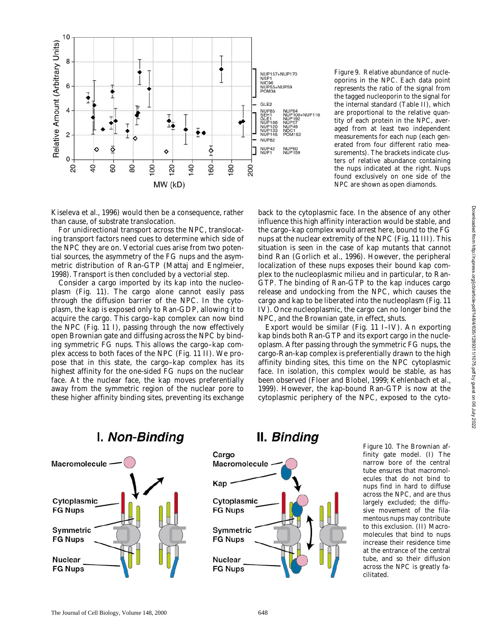

*Figure 9.* Relative abundance of nucleoporins in the NPC. Each data point represents the ratio of the signal from the tagged nucleoporin to the signal for the internal standard (Table II), which are proportional to the relative quantity of each protein in the NPC, averaged from at least two independent measurements for each nup (each generated from four different ratio measurements). The brackets indicate clusters of relative abundance containing the nups indicated at the right. Nups found exclusively on one side of the NPC are shown as open diamonds.

Kiseleva et al., 1996) would then be a consequence, rather than cause, of substrate translocation.

For unidirectional transport across the NPC, translocating transport factors need cues to determine which side of the NPC they are on. Vectorial cues arise from two potential sources, the asymmetry of the FG nups and the asymmetric distribution of Ran-GTP (Mattaj and Englmeier, 1998). Transport is then concluded by a vectorial step.

Consider a cargo imported by its kap into the nucleoplasm (Fig. 11). The cargo alone cannot easily pass through the diffusion barrier of the NPC. In the cytoplasm, the kap is exposed only to Ran-GDP, allowing it to acquire the cargo. This cargo–kap complex can now bind the NPC (Fig. 11 I), passing through the now effectively open Brownian gate and diffusing across the NPC by binding symmetric FG nups. This allows the cargo–kap complex access to both faces of the NPC (Fig. 11 II). We propose that in this state, the cargo–kap complex has its highest affinity for the one-sided FG nups on the nuclear face. At the nuclear face, the kap moves preferentially away from the symmetric region of the nuclear pore to these higher affinity binding sites, preventing its exchange

back to the cytoplasmic face. In the absence of any other influence this high affinity interaction would be stable, and the cargo–kap complex would arrest here, bound to the FG nups at the nuclear extremity of the NPC (Fig. 11 III). This situation is seen in the case of kap mutants that cannot bind Ran (Gorlich et al., 1996). However, the peripheral localization of these nups exposes their bound kap complex to the nucleoplasmic milieu and in particular, to Ran-GTP. The binding of Ran-GTP to the kap induces cargo release and undocking from the NPC, which causes the cargo and kap to be liberated into the nucleoplasm (Fig. 11 IV). Once nucleoplasmic, the cargo can no longer bind the NPC, and the Brownian gate, in effect, shuts.

Export would be similar (Fig. 11 I–IV). An exporting kap binds both Ran-GTP and its export cargo in the nucleoplasm. After passing through the symmetric FG nups, the cargo-Ran-kap complex is preferentially drawn to the high affinity binding sites, this time on the NPC cytoplasmic face. In isolation, this complex would be stable, as has been observed (Floer and Blobel, 1999; Kehlenbach et al., 1999). However, the kap-bound Ran-GTP is now at the cytoplasmic periphery of the NPC, exposed to the cyto-



# I. Non-Binding



II. Binding

*Figure 10.* The Brownian affinity gate model. (I) The narrow bore of the central tube ensures that macromolecules that do not bind to nups find in hard to diffuse across the NPC, and are thus largely excluded; the diffusive movement of the filamentous nups may contribute to this exclusion. (II) Macromolecules that bind to nups increase their residence time at the entrance of the central tube, and so their diffusion across the NPC is greatly facilitated.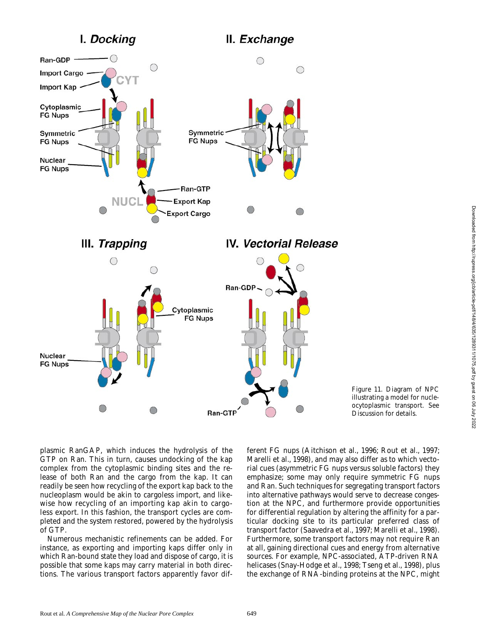



plasmic RanGAP, which induces the hydrolysis of the GTP on Ran. This in turn, causes undocking of the kap complex from the cytoplasmic binding sites and the release of both Ran and the cargo from the kap. It can readily be seen how recycling of the export kap back to the nucleoplasm would be akin to cargoless import, and likewise how recycling of an importing kap akin to cargoless export. In this fashion, the transport cycles are completed and the system restored, powered by the hydrolysis of GTP.

Numerous mechanistic refinements can be added. For instance, as exporting and importing kaps differ only in which Ran-bound state they load and dispose of cargo, it is possible that some kaps may carry material in both directions. The various transport factors apparently favor different FG nups (Aitchison et al., 1996; Rout et al., 1997; Marelli et al., 1998), and may also differ as to which vectorial cues (asymmetric FG nups versus soluble factors) they emphasize; some may only require symmetric FG nups and Ran. Such techniques for segregating transport factors into alternative pathways would serve to decrease congestion at the NPC, and furthermore provide opportunities for differential regulation by altering the affinity for a particular docking site to its particular preferred class of transport factor (Saavedra et al., 1997; Marelli et al., 1998). Furthermore, some transport factors may not require Ran at all, gaining directional cues and energy from alternative sources. For example, NPC-associated, ATP-driven RNA helicases (Snay-Hodge et al., 1998; Tseng et al., 1998), plus the exchange of RNA-binding proteins at the NPC, might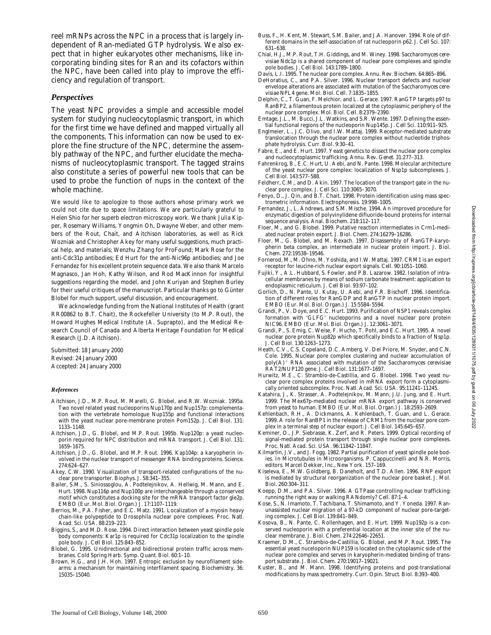reel mRNPs across the NPC in a process that is largely independent of Ran-mediated GTP hydrolysis. We also expect that in higher eukaryotes other mechanisms, like incorporating binding sites for Ran and its cofactors within the NPC, have been called into play to improve the efficiency and regulation of transport.

#### *Perspectives*

The yeast NPC provides a simple and accessible model system for studying nucleocytoplasmic transport, in which for the first time we have defined and mapped virtually all the components. This information can now be used to explore the fine structure of the NPC, determine the assembly pathway of the NPC, and further elucidate the mechanisms of nucleocytoplasmic transport. The tagged strains also constitute a series of powerful new tools that can be used to probe the function of nups in the context of the whole machine.

We would like to apologize to those authors whose primary work we could not cite due to space limitations. We are particularly grateful to Helen Shio for her superb electron microscopy work. We thank Julia Kipper, Rosemary Williams, Yongmin Oh, Dwayne Weber, and other members of the Rout, Chait, and Aitchison laboratories, as well as Rick Wozniak and Christopher Akey for many useful suggestions, much practical help, and materials; Wenzhu Zhang for ProFound; Mark Rose for the anti-Cdc31p antibodies; Ed Hurt for the anti-Nic96p antibodies; and Joe Fernandez for his excellent protein sequence data. We also thank Marcelo Magnasco, Jan Hoh, Kathy Wilson, and Rod MacKinnon for insightful suggestions regarding the model, and John Kuriyan and Stephen Burley for their useful critiques of the manuscript. Particular thanks go to Günter Blobel for much support, useful discussion, and encouragement.

We acknowledge funding from the National Institutes of Health (grant RR00862 to B.T. Chait), the Rockefeller University (to M.P. Rout), the Howard Hughes Medical Institute (A. Suprapto), and the Medical Research Council of Canada and Alberta Heritage Foundation for Medical Research (J.D. Aitchison).

Submitted: 18 January 2000 Revised: 24 January 2000 Accepted: 24 January 2000

#### *References*

- Aitchison, J.D., M.P. Rout, M. Marelli, G. Blobel, and R.W. Wozniak. 1995a. Two novel related yeast nucleoporins Nup170p and Nup157p: complementation with the vertebrate homologue Nup155p and functional interactions with the yeast nuclear pore-membrane protein Pom152p. *J. Cell Biol.* 131: 1133–1148.
- Aitchison, J.D., G. Blobel, and M.P. Rout. 1995b. Nup120p: a yeast nucleoporin required for NPC distribution and mRNA transport. *J. Cell Biol.* 131: 1659–1675.
- Aitchison, J.D., G. Blobel, and M.P. Rout. 1996. Kap104p: a karyopherin involved in the nuclear transport of messenger RNA binding proteins. *Science*. 274:624–627.
- Akey, C.W. 1990. Visualization of transport-related configurations of the nuclear pore transporter. *Biophys. J.* 58:341–355.
- Bailer, S.M., S. Siniossoglou, A. Podtelejnikov, A. Hellwig, M. Mann, and E. Hurt. 1998. Nup116p and Nup100p are interchangeable through a conserved motif which constitutes a docking site for the mRNA transport factor gle2p. *EMBO (Eur. Mol. Biol. Organ.) J.* 17:1107–1119.
- Berrios, M., P.A. Fisher, and E.C. Matz. 1991. Localization of a myosin heavy chain-like polypeptide to *Drosophila* nuclear pore complexes. *Proc. Natl. Acad. Sci. USA.* 88:219–223.
- Biggins, S., and M.D. Rose. 1994. Direct interaction between yeast spindle pole body components: Kar1p is required for Cdc31p localization to the spindle pole body. *J. Cell Biol.* 125:843–852.
- Blobel, G. 1995. Unidirectional and bidirectional protein traffic across membranes. *Cold Spring Harb. Symp. Quant. Biol.* 60:1–10.
- Brown, H.G., and J.H. Hoh. 1997. Entropic exclusion by neurofilament sidearms: a mechanism for maintaining interfilament spacing. *Biochemistry*. 36: 15035–15040.
- Buss, F., H. Kent, M. Stewart, S.M. Bailer, and J.A. Hanover. 1994. Role of different domains in the self-association of rat nucleoporin p62. *J. Cell Sci.* 107: 631–638.
- Chial, H.J., M.P. Rout, T.H. Giddings, and M. Winey. 1998. *Saccharomyces cerevisiae* Ndc1p is a shared component of nuclear pore complexes and spindle pole bodies. *J. Cell Biol.* 143:1789–1800.
- Davis, L.I. 1995. The nuclear pore complex. *Annu. Rev. Biochem.* 64:865–896.
- DeHoratius, C., and P.A. Silver. 1996. Nuclear transport defects and nuclear envelope alterations are associated with mutation of the *Saccharomyces cerevisiae* NPL4 gene. *Mol. Biol. Cell.* 7:1835–1855.
- Delphin, C., T. Guan, F. Melchior, and L. Gerace. 1997. RanGTP targets p97 to RanBP2, a filamentous protein localized at the cytoplasmic periphery of the nuclear pore complex. *Mol. Biol. Cell.* 8:2379–2390.
- Emtage, J.L., M. Bucci, J.L. Watkins, and S.R. Wente. 1997. Defining the essential functional regions of the nucleoporin Nup145p. *J. Cell Sci.* 110:911–925.
- Englmeier, L., J.C. Olivo, and I.W. Mattaj. 1999. Receptor-mediated substrate translocation through the nuclear pore complex without nucleotide triphosphate hydrolysis. *Curr. Biol.* 9:30–41.
- Fabre, E., and E. Hurt. 1997. Yeast genetics to dissect the nuclear pore complex and nucleocytoplasmic trafficking. *Annu. Rev. Genet.* 31:277–313.
- Fahrenkrog, B., E.C. Hurt, U. Aebi, and N. Pante. 1998. Molecular architecture of the yeast nuclear pore complex: localization of Nsp1p subcomplexes. *J. Cell Biol.* 143:577–588.
- Feldherr, C.M., and D. Akin. 1997. The location of the transport gate in the nuclear pore complex. *J. Cell Sci.* 110:3065–3070.
- Fenyo, D., J. Qin, and B.T. Chait. 1998. Protein identification using mass spectrometric information. *Electrophoresis*. 19:998–1005.
- Fernandez, J., L. Andrews, and S.M. Mische. 1994. An improved procedure for enzymatic digestion of polyvinylidene difluoride-bound proteins for internal sequence analysis. *Anal. Biochem.* 218:112–117.
- Floer, M., and G. Blobel. 1999. Putative reaction intermediates in Crm1-mediated nuclear protein export. *J. Biol. Chem.* 274:16279–16286.
- Floer, M., G. Blobel, and M. Rexach. 1997. Disassembly of RanGTP-karyopherin beta complex, an intermediate in nuclear protein import. *J. Biol. Chem.* 272:19538–19546.
- Fornerod, M., M. Ohno, M. Yoshida, and I.W. Mattaj. 1997. CRM1 is an export receptor for leucine-rich nuclear export signals. *Cell*. 90:1051–1060.
- Fujiki, Y., A.L. Hubbard, S. Fowler, and P.B. Lazarow. 1982. Isolation of intracellular membranes by means of sodium carbonate treatment: application to endoplasmic reticulum. *J. Cell Biol.* 93:97–102.
- Gorlich, D., N. Pante, U. Kutay, U. Aebi, and F.R. Bischoff. 1996. Identification of different roles for RanGDP and RanGTP in nuclear protein import. *EMBO (Eur. Mol. Biol. Organ.) J.* 15:5584–5594.
- Grandi, P., V. Doye, and E.C. Hurt. 1993. Purification of NSP1 reveals complex formation with 'GLFG' nucleoporins and a novel nuclear pore protein NIC96. *EMBO (Eur. Mol. Biol. Organ.) J.* 12:3061–3071.
- Grandi, P., S. Emig, C. Weise, F. Hucho, T. Pohl, and E.C. Hurt. 1995. A novel nuclear pore protein Nup82p which specifically binds to a fraction of Nsp1p. *J. Cell Biol.* 130:1263–1273.
- Heath, C.V., C.S. Copeland, D.C. Amberg, V. Del Priore, M. Snyder, and C.N. Cole. 1995. Nuclear pore complex clustering and nuclear accumulation of<br>poly(A)+ RNA associated with mutation of the *Saccharomyces cerevisiae* RAT2/NUP120 gene. *J. Cell Biol.* 131:1677–1697.
- Hurwitz, M.E., C. Strambio-de-Castillia, and G. Blobel. 1998. Two yeast nuclear pore complex proteins involved in mRNA export form a cytoplasmically oriented subcomplex. *Proc. Natl. Acad. Sci. USA.* 95:11241–11245.
- Katahira, J., K. Strasser, A. Podtelejnikov, M. Mann, J.U. Jung, and E. Hurt. 1999. The Mex67p-mediated nuclear mRNA export pathway is conserved from yeast to human. *EMBO (Eur. Mol. Biol. Organ.) J.* 18:2593–2609.
- Kehlenbach, R.H., A. Dickmanns, A. Kehlenbach, T. Guan, and L. Gerace. 1999. A role for RanBP1 in the release of CRM1 from the nuclear pore complex in a terminal step of nuclear export. *J. Cell Biol.* 145:645–657.
- Keminer, O., J.P. Siebrasse, K. Zerf, and R. Peters. 1999. Optical recording of signal-mediated protein transport through single nuclear pore complexes. *Proc. Natl. Acad. Sci. USA.* 96:11842–11847.
- Kilmartin, J.V., and J. Fogg. 1982. Partial purification of yeast spindle pole bodies. *In* Microtubules in Microorganisms. P. Cappuccinelli and N.R. Morris, editors. Marcel Dekker, Inc., New York. 157–169.
- Kiseleva, E., M.W. Goldberg, B. Daneholt, and T.D. Allen. 1996. RNP export is mediated by structural reorganization of the nuclear pore basket. *J. Mol. Biol.* 260:304–311.
- Koepp, D.M., and P.A. Silver. 1996. A GTPase controlling nuclear trafficking: running the right way or walking RANdomly? *Cell*. 87:1–4.
- Kose, S., N. Imamoto, T. Tachibana, T. Shimamoto, and Y. Yoneda. 1997. Ranunassisted nuclear migration of a 97-kD component of nuclear pore-targeting complex. *J. Cell Biol.* 139:841–849.
- Kosova, B., N. Pante, C. Rollenhagen, and E. Hurt. 1999. Nup192p is a conserved nucleoporin with a preferential location at the inner site of the nuclear membrane. *J. Biol. Chem.* 274:22646–22651.
- Kraemer, D.M., C. Strambio-de-Castillia, G. Blobel, and M.P. Rout. 1995. The essential yeast nuceloporin NUP159 is located on the cytoplasmic side of the nuclear pore complex and serves in karyopherin-mediated binding of transport substrate. *J. Biol. Chem.* 270:19017–19021.
- Kuster, B., and M. Mann. 1998. Identifying proteins and post-translational modifications by mass spectrometry. *Curr. Opin. Struct. Biol.* 8:393–400.